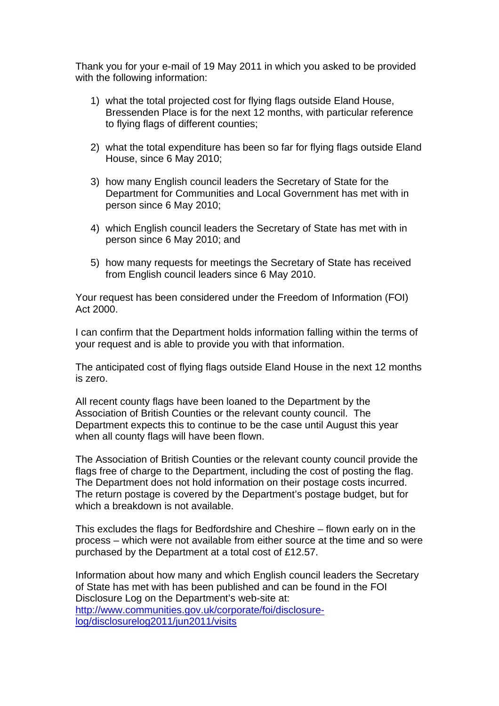Thank you for your e-mail of 19 May 2011 in which you asked to be provided with the following information:

- 1) what the total projected cost for flying flags outside Eland House, Bressenden Place is for the next 12 months, with particular reference to flying flags of different counties;
- 2) what the total expenditure has been so far for flying flags outside Eland House, since 6 May 2010;
- 3) how many English council leaders the Secretary of State for the Department for Communities and Local Government has met with in person since 6 May 2010;
- 4) which English council leaders the Secretary of State has met with in person since 6 May 2010; and
- 5) how many requests for meetings the Secretary of State has received from English council leaders since 6 May 2010.

Your request has been considered under the Freedom of Information (FOI) Act 2000.

I can confirm that the Department holds information falling within the terms of your request and is able to provide you with that information.

The anticipated cost of flying flags outside Eland House in the next 12 months is zero.

All recent county flags have been loaned to the Department by the Association of British Counties or the relevant county council. The Department expects this to continue to be the case until August this year when all county flags will have been flown.

The Association of British Counties or the relevant county council provide the flags free of charge to the Department, including the cost of posting the flag. The Department does not hold information on their postage costs incurred. The return postage is covered by the Department's postage budget, but for which a breakdown is not available.

This excludes the flags for Bedfordshire and Cheshire – flown early on in the process – which were not available from either source at the time and so were purchased by the Department at a total cost of £12.57.

Information about how many and which English council leaders the Secretary of State has met with has been published and can be found in the FOI Disclosure Log on the Department's web-site at: [http://www.communities.gov.uk/corporate/foi/disclosure](http://www.communities.gov.uk/corporate/foi/disclosure-log/disclosurelog2011/jun2011/visits)[log/disclosurelog2011/jun2011/visits](http://www.communities.gov.uk/corporate/foi/disclosure-log/disclosurelog2011/jun2011/visits)